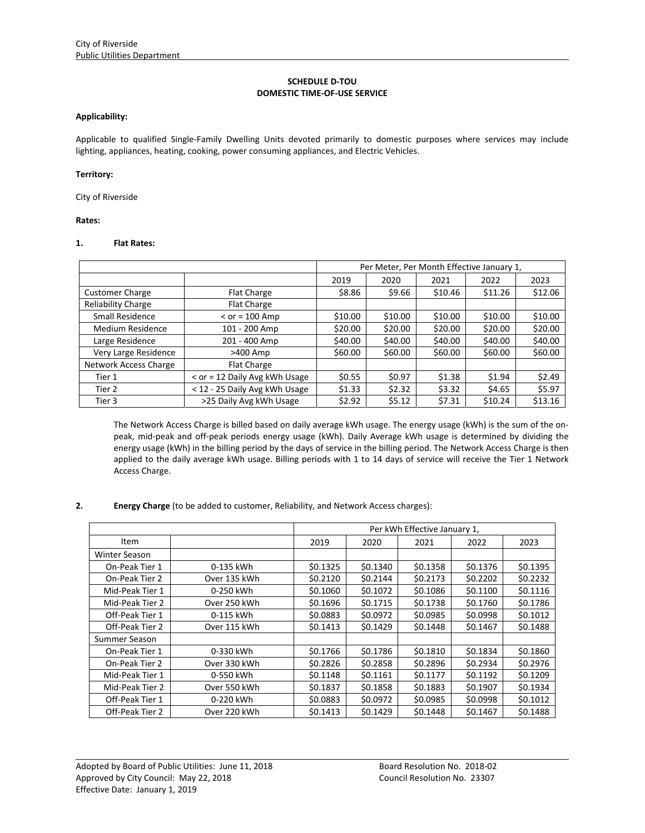## **SCHEDULE D‐TOU DOMESTIC TIME‐OF‐USE SERVICE**

### **Applicability:**

Applicable to qualified Single‐Family Dwelling Units devoted primarily to domestic purposes where services may include lighting, appliances, heating, cooking, power consuming appliances, and Electric Vehicles.

#### **Territory:**

City of Riverside

**Rates:**

## **1. Flat Rates:**

|                              | Per Meter, Per Month Effective January 1, |         |         |         |         |         |
|------------------------------|-------------------------------------------|---------|---------|---------|---------|---------|
|                              |                                           | 2019    | 2020    | 2021    | 2022    | 2023    |
| <b>Customer Charge</b>       | <b>Flat Charge</b>                        | \$8.86  | \$9.66  | \$10.46 | \$11.26 | \$12.06 |
| <b>Reliability Charge</b>    | Flat Charge                               |         |         |         |         |         |
| Small Residence              | $<$ or = 100 Amp                          | \$10.00 | \$10.00 | \$10.00 | \$10.00 | \$10.00 |
| Medium Residence             | 101 - 200 Amp                             | \$20.00 | \$20.00 | \$20.00 | \$20.00 | \$20.00 |
| Large Residence              | 201 - 400 Amp                             | \$40.00 | \$40.00 | \$40.00 | \$40.00 | \$40.00 |
| Very Large Residence         | >400 Amp                                  | \$60.00 | \$60.00 | \$60.00 | \$60.00 | \$60.00 |
| <b>Network Access Charge</b> | <b>Flat Charge</b>                        |         |         |         |         |         |
| Tier 1                       | < or = 12 Daily Avg kWh Usage             | \$0.55  | \$0.97  | \$1.38  | \$1.94  | \$2.49  |
| Tier 2                       | < 12 - 25 Daily Avg kWh Usage             | \$1.33  | \$2.32  | \$3.32  | \$4.65  | \$5.97  |
| Tier 3                       | >25 Daily Avg kWh Usage                   | \$2.92  | \$5.12  | \$7.31  | \$10.24 | \$13.16 |

The Network Access Charge is billed based on daily average kWh usage. The energy usage (kWh) is the sum of the on‐ peak, mid‐peak and off‐peak periods energy usage (kWh). Daily Average kWh usage is determined by dividing the energy usage (kWh) in the billing period by the days of service in the billing period. The Network Access Charge is then applied to the daily average kWh usage. Billing periods with 1 to 14 days of service will receive the Tier 1 Network Access Charge.

## **2. Energy Charge** (to be added to customer, Reliability, and Network Access charges):

|                      |              | Per kWh Effective January 1, |          |          |          |          |  |
|----------------------|--------------|------------------------------|----------|----------|----------|----------|--|
| Item                 |              | 2019                         | 2020     | 2021     | 2022     | 2023     |  |
| <b>Winter Season</b> |              |                              |          |          |          |          |  |
| On-Peak Tier 1       | 0-135 kWh    | \$0.1325                     | \$0.1340 | \$0.1358 | \$0.1376 | \$0.1395 |  |
| On-Peak Tier 2       | Over 135 kWh | \$0.2120                     | \$0.2144 | \$0.2173 | \$0.2202 | \$0.2232 |  |
| Mid-Peak Tier 1      | 0-250 kWh    | \$0.1060                     | \$0.1072 | \$0.1086 | \$0.1100 | \$0.1116 |  |
| Mid-Peak Tier 2      | Over 250 kWh | \$0.1696                     | \$0.1715 | \$0.1738 | \$0.1760 | \$0.1786 |  |
| Off-Peak Tier 1      | 0-115 kWh    | \$0.0883                     | \$0.0972 | \$0.0985 | \$0.0998 | \$0.1012 |  |
| Off-Peak Tier 2      | Over 115 kWh | \$0.1413                     | \$0.1429 | \$0.1448 | \$0.1467 | \$0.1488 |  |
| Summer Season        |              |                              |          |          |          |          |  |
| On-Peak Tier 1       | 0-330 kWh    | \$0.1766                     | \$0.1786 | \$0.1810 | \$0.1834 | \$0.1860 |  |
| On-Peak Tier 2       | Over 330 kWh | \$0.2826                     | \$0.2858 | \$0.2896 | \$0.2934 | \$0.2976 |  |
| Mid-Peak Tier 1      | 0-550 kWh    | \$0.1148                     | \$0.1161 | \$0.1177 | \$0.1192 | \$0.1209 |  |
| Mid-Peak Tier 2      | Over 550 kWh | \$0.1837                     | \$0.1858 | \$0.1883 | \$0.1907 | \$0.1934 |  |
| Off-Peak Tier 1      | 0-220 kWh    | \$0.0883                     | \$0.0972 | \$0.0985 | \$0.0998 | \$0.1012 |  |
| Off-Peak Tier 2      | Over 220 kWh | \$0.1413                     | \$0.1429 | \$0.1448 | \$0.1467 | \$0.1488 |  |

<u> 1989 - Johann Stoff, amerikansk politiker (d. 1989)</u>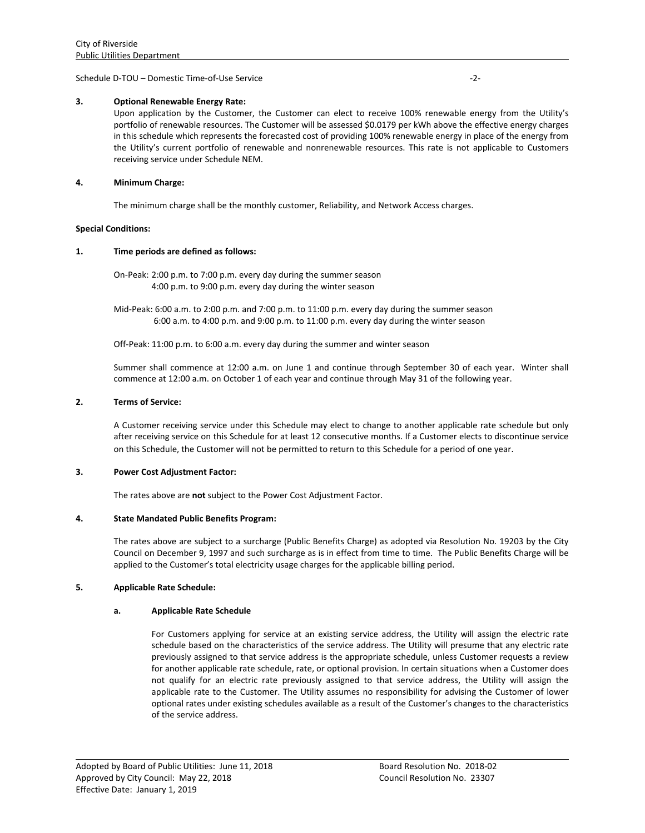Schedule D‐TOU – Domestic Time‐of‐Use Service ‐2‐

### **3. Optional Renewable Energy Rate:**

Upon application by the Customer, the Customer can elect to receive 100% renewable energy from the Utility's portfolio of renewable resources. The Customer will be assessed \$0.0179 per kWh above the effective energy charges in this schedule which represents the forecasted cost of providing 100% renewable energy in place of the energy from the Utility's current portfolio of renewable and nonrenewable resources. This rate is not applicable to Customers receiving service under Schedule NEM.

### **4. Minimum Charge:**

The minimum charge shall be the monthly customer, Reliability, and Network Access charges.

#### **Special Conditions:**

### **1. Time periods are defined as follows:**

On‐Peak: 2:00 p.m. to 7:00 p.m. every day during the summer season 4:00 p.m. to 9:00 p.m. every day during the winter season

Mid‐Peak: 6:00 a.m. to 2:00 p.m. and 7:00 p.m. to 11:00 p.m. every day during the summer season 6:00 a.m. to 4:00 p.m. and 9:00 p.m. to 11:00 p.m. every day during the winter season

Off-Peak: 11:00 p.m. to 6:00 a.m. every day during the summer and winter season

Summer shall commence at 12:00 a.m. on June 1 and continue through September 30 of each year. Winter shall commence at 12:00 a.m. on October 1 of each year and continue through May 31 of the following year.

### **2. Terms of Service:**

A Customer receiving service under this Schedule may elect to change to another applicable rate schedule but only after receiving service on this Schedule for at least 12 consecutive months. If a Customer elects to discontinue service on this Schedule, the Customer will not be permitted to return to this Schedule for a period of one year.

#### **3. Power Cost Adjustment Factor:**

The rates above are **not** subject to the Power Cost Adjustment Factor.

## **4. State Mandated Public Benefits Program:**

The rates above are subject to a surcharge (Public Benefits Charge) as adopted via Resolution No. 19203 by the City Council on December 9, 1997 and such surcharge as is in effect from time to time. The Public Benefits Charge will be applied to the Customer's total electricity usage charges for the applicable billing period.

## **5. Applicable Rate Schedule:**

## **a. Applicable Rate Schedule**

For Customers applying for service at an existing service address, the Utility will assign the electric rate schedule based on the characteristics of the service address. The Utility will presume that any electric rate previously assigned to that service address is the appropriate schedule, unless Customer requests a review for another applicable rate schedule, rate, or optional provision. In certain situations when a Customer does not qualify for an electric rate previously assigned to that service address, the Utility will assign the applicable rate to the Customer. The Utility assumes no responsibility for advising the Customer of lower optional rates under existing schedules available as a result of the Customer's changes to the characteristics of the service address.

<u> 1989 - Johann Stoff, amerikansk politiker (d. 1989)</u>